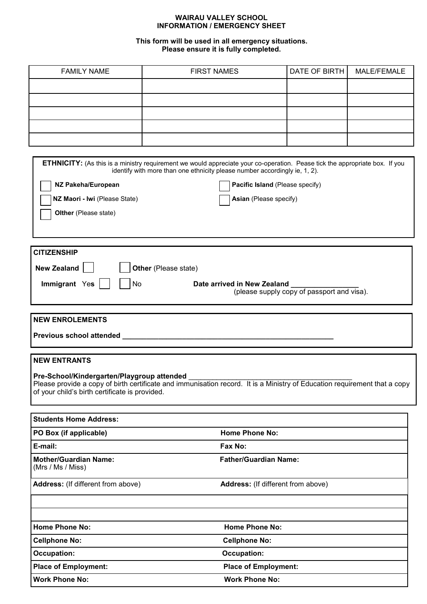## **WAIRAU VALLEY SCHOOL INFORMATION / EMERGENCY SHEET**

## **This form will be used in all emergency situations. Please ensure it is fully completed.**

| <b>FAMILY NAME</b> | <b>FIRST NAMES</b> | DATE OF BIRTH | <b>MALE/FEMALE</b> |
|--------------------|--------------------|---------------|--------------------|
|                    |                    |               |                    |
|                    |                    |               |                    |
|                    |                    |               |                    |
|                    |                    |               |                    |
|                    |                    |               |                    |

|                                                                                              | <b>ETHNICITY:</b> (As this is a ministry requirement we would appreciate your co-operation. Pease tick the appropriate box. If you<br>identify with more than one ethnicity please number accordingly ie, 1, 2). |
|----------------------------------------------------------------------------------------------|------------------------------------------------------------------------------------------------------------------------------------------------------------------------------------------------------------------|
| NZ Pakeha/European                                                                           | Pacific Island (Please specify)                                                                                                                                                                                  |
| NZ Maori - Iwi (Please State)                                                                | Asian (Please specify)                                                                                                                                                                                           |
| Olther (Please state)                                                                        |                                                                                                                                                                                                                  |
|                                                                                              |                                                                                                                                                                                                                  |
|                                                                                              |                                                                                                                                                                                                                  |
| <b>CITIZENSHIP</b>                                                                           |                                                                                                                                                                                                                  |
| <b>New Zealand</b><br>Other (Please state)                                                   |                                                                                                                                                                                                                  |
| Immigrant Yes<br>No                                                                          | Date arrived in New Zealand                                                                                                                                                                                      |
|                                                                                              | (please supply copy of passport and visa).                                                                                                                                                                       |
|                                                                                              |                                                                                                                                                                                                                  |
| <b>NEW ENROLEMENTS</b>                                                                       |                                                                                                                                                                                                                  |
|                                                                                              |                                                                                                                                                                                                                  |
|                                                                                              |                                                                                                                                                                                                                  |
| <b>NEW ENTRANTS</b>                                                                          |                                                                                                                                                                                                                  |
| Pre-School/Kindergarten/Playgroup attended<br>of your child's birth certificate is provided. | Please provide a copy of birth certificate and immunisation record. It is a Ministry of Education requirement that a copy                                                                                        |
|                                                                                              |                                                                                                                                                                                                                  |
| <b>Students Home Address:</b>                                                                |                                                                                                                                                                                                                  |
| PO Box (if applicable)                                                                       | <b>Home Phone No:</b>                                                                                                                                                                                            |
| E-mail:                                                                                      | Fax No:                                                                                                                                                                                                          |
| <b>Mother/Guardian Name:</b><br>(Mrs / Ms / Miss)                                            | <b>Father/Guardian Name:</b>                                                                                                                                                                                     |
| Address: (If different from above)                                                           | Address: (If different from above)                                                                                                                                                                               |
|                                                                                              |                                                                                                                                                                                                                  |
| <b>Home Phone No:</b>                                                                        | <b>Home Phone No:</b>                                                                                                                                                                                            |
| <b>Cellphone No:</b>                                                                         | <b>Cellphone No:</b>                                                                                                                                                                                             |
| <b>Occupation:</b>                                                                           | <b>Occupation:</b>                                                                                                                                                                                               |
| <b>Place of Employment:</b>                                                                  | <b>Place of Employment:</b>                                                                                                                                                                                      |
| <b>Work Phone No:</b>                                                                        | <b>Work Phone No:</b>                                                                                                                                                                                            |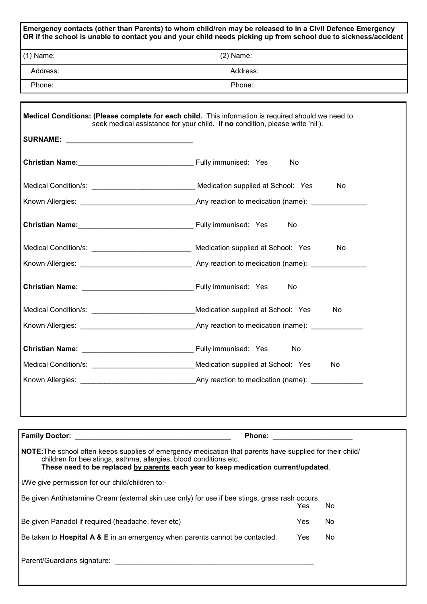| $(1)$ Name:                                                                                                            | $(2)$ Name:                                                                                                                                                                          |  |  |  |
|------------------------------------------------------------------------------------------------------------------------|--------------------------------------------------------------------------------------------------------------------------------------------------------------------------------------|--|--|--|
| Address:                                                                                                               | Address:                                                                                                                                                                             |  |  |  |
| Phone:                                                                                                                 | Phone:                                                                                                                                                                               |  |  |  |
|                                                                                                                        | Medical Conditions: (Please complete for each child. This information is required should we need to<br>seek medical assistance for your child. If no condition, please write 'nil'). |  |  |  |
|                                                                                                                        |                                                                                                                                                                                      |  |  |  |
|                                                                                                                        | Christian Name: Manner Manner Manner Manner Manner Manner Manner Manner Manner Manner Manner Manner Manner Man<br>No                                                                 |  |  |  |
|                                                                                                                        | No                                                                                                                                                                                   |  |  |  |
|                                                                                                                        |                                                                                                                                                                                      |  |  |  |
|                                                                                                                        | No                                                                                                                                                                                   |  |  |  |
|                                                                                                                        | Medical Condition/s: ___________________________________ Medication supplied at School: Yes<br>No                                                                                    |  |  |  |
|                                                                                                                        |                                                                                                                                                                                      |  |  |  |
|                                                                                                                        | No                                                                                                                                                                                   |  |  |  |
|                                                                                                                        | Medical Condition/s: _______________________________Medication supplied at School: Yes<br>No                                                                                         |  |  |  |
|                                                                                                                        | Known Allergies: The Contract of Any reaction to medication (name):                                                                                                                  |  |  |  |
|                                                                                                                        | No                                                                                                                                                                                   |  |  |  |
| Medical Condition/s: <b>With Conditions</b> and Conditions and Conditions and Conditions and Conditions and Conditions | Medication supplied at School: Yes<br>No                                                                                                                                             |  |  |  |
|                                                                                                                        | Any reaction to medication (name): ______________                                                                                                                                    |  |  |  |
|                                                                                                                        |                                                                                                                                                                                      |  |  |  |
|                                                                                                                        |                                                                                                                                                                                      |  |  |  |

I/We give permission for our child/children to:-

| Be given Antihistamine Cream (external skin use only) for use if bee stings, grass rash occurs. |     |    |  |
|-------------------------------------------------------------------------------------------------|-----|----|--|
|                                                                                                 | Yes | No |  |
| Be given Panadol if required (headache, fever etc)                                              | Yes | No |  |
| Be taken to <b>Hospital A &amp; E</b> in an emergency when parents cannot be contacted.         | Yes | No |  |
| Parent/Guardians signature:                                                                     |     |    |  |